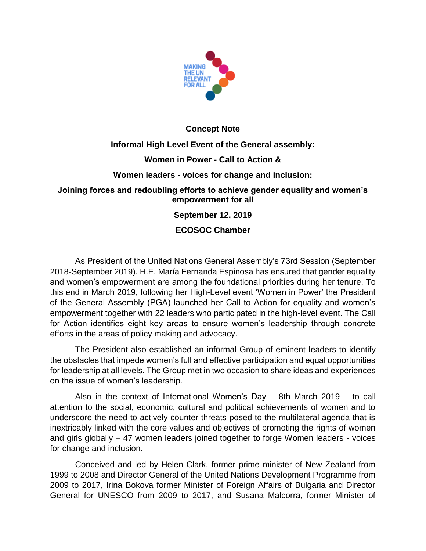

### **Concept Note**

# **Informal High Level Event of the General assembly: Women in Power - Call to Action & Women leaders - voices for change and inclusion:**

#### **Joining forces and redoubling efforts to achieve gender equality and women's empowerment for all**

## **September 12, 2019**

## **ECOSOC Chamber**

As President of the United Nations General Assembly's 73rd Session (September 2018-September 2019), H.E. María Fernanda Espinosa has ensured that gender equality and women's empowerment are among the foundational priorities during her tenure. To this end in March 2019, following her High-Level event 'Women in Power' the President of the General Assembly (PGA) launched her Call to Action for equality and women's empowerment together with 22 leaders who participated in the high-level event. The Call for Action identifies eight key areas to ensure women's leadership through concrete efforts in the areas of policy making and advocacy.

The President also established an informal Group of eminent leaders to identify the obstacles that impede women's full and effective participation and equal opportunities for leadership at all levels. The Group met in two occasion to share ideas and experiences on the issue of women's leadership.

Also in the context of International Women's Day – 8th March 2019 – to call attention to the social, economic, cultural and political achievements of women and to underscore the need to actively counter threats posed to the multilateral agenda that is inextricably linked with the core values and objectives of promoting the rights of women and girls globally – 47 women leaders joined together to forge Women leaders - voices for change and inclusion.

Conceived and led by Helen Clark, former prime minister of New Zealand from 1999 to 2008 and Director General of the United Nations Development Programme from 2009 to 2017, Irina Bokova former Minister of Foreign Affairs of Bulgaria and Director General for UNESCO from 2009 to 2017, and Susana Malcorra, former Minister of